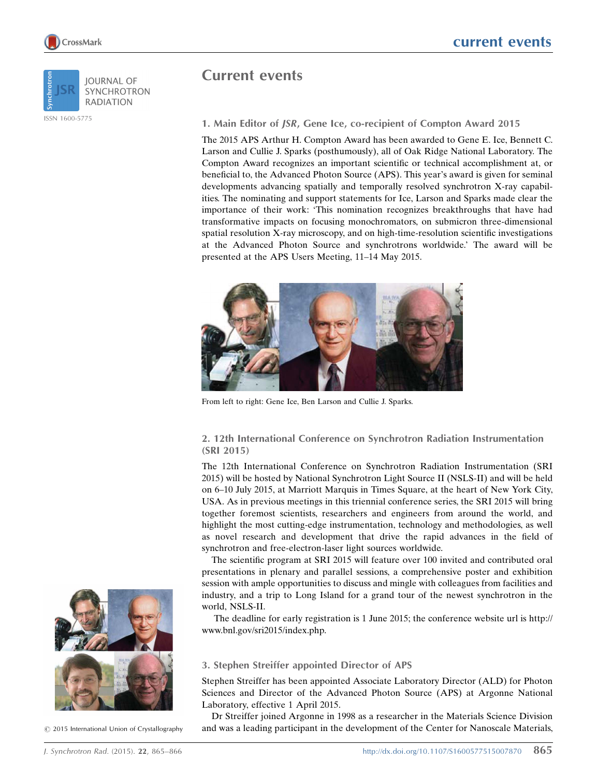

ISSN 1600-5775



Current events

## 1. Main Editor of JSR, Gene Ice, co-recipient of Compton Award 2015

The 2015 APS Arthur H. Compton Award has been awarded to Gene E. Ice, Bennett C. Larson and Cullie J. Sparks (posthumously), all of Oak Ridge National Laboratory. The Compton Award recognizes an important scientific or technical accomplishment at, or beneficial to, the Advanced Photon Source (APS). This year's award is given for seminal developments advancing spatially and temporally resolved synchrotron X-ray capabilities. The nominating and support statements for Ice, Larson and Sparks made clear the importance of their work: 'This nomination recognizes breakthroughs that have had transformative impacts on focusing monochromators, on submicron three-dimensional spatial resolution X-ray microscopy, and on high-time-resolution scientific investigations at the Advanced Photon Source and synchrotrons worldwide.' The award will be presented at the APS Users Meeting, 11–14 May 2015.



From left to right: Gene Ice, Ben Larson and Cullie J. Sparks.

## 2. 12th International Conference on Synchrotron Radiation Instrumentation (SRI 2015)

The 12th International Conference on Synchrotron Radiation Instrumentation (SRI 2015) will be hosted by National Synchrotron Light Source II (NSLS-II) and will be held on 6–10 July 2015, at Marriott Marquis in Times Square, at the heart of New York City, USA. As in previous meetings in this triennial conference series, the SRI 2015 will bring together foremost scientists, researchers and engineers from around the world, and highlight the most cutting-edge instrumentation, technology and methodologies, as well as novel research and development that drive the rapid advances in the field of synchrotron and free-electron-laser light sources worldwide.

The scientific program at SRI 2015 will feature over 100 invited and contributed oral presentations in plenary and parallel sessions, a comprehensive poster and exhibition session with ample opportunities to discuss and mingle with colleagues from facilities and industry, and a trip to Long Island for a grand tour of the newest synchrotron in the world, NSLS-II.

The deadline for early registration is 1 June 2015; the conference website url is http:// www.bnl.gov/sri2015/index.php.

## 3. Stephen Streiffer appointed Director of APS

Stephen Streiffer has been appointed Associate Laboratory Director (ALD) for Photon Sciences and Director of the Advanced Photon Source (APS) at Argonne National Laboratory, effective 1 April 2015.

Dr Streiffer joined Argonne in 1998 as a researcher in the Materials Science Division and was a leading participant in the development of the Center for Nanoscale Materials,



 $\odot$  2015 International Union of Crystallography